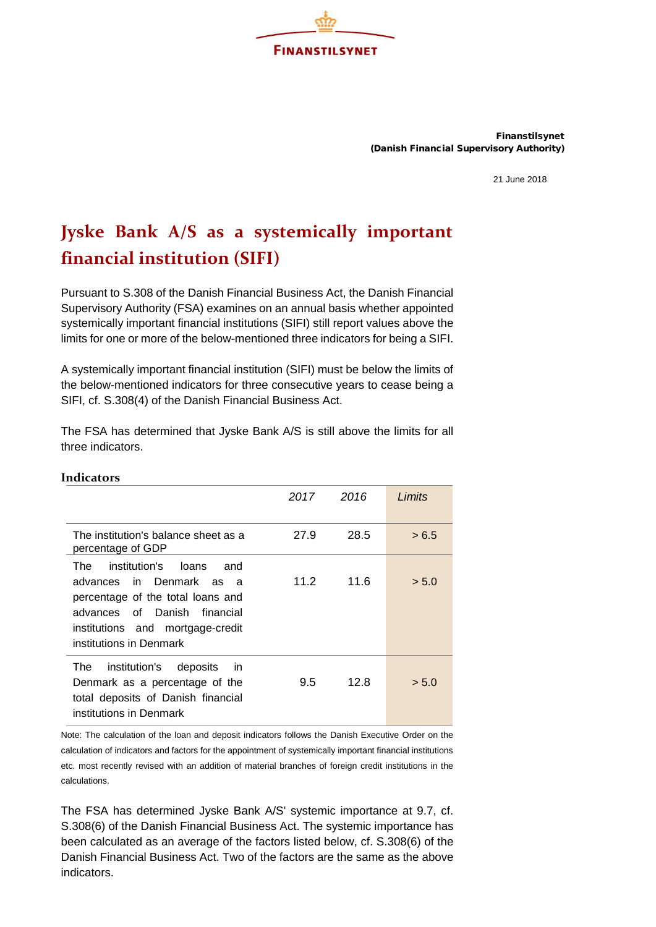

Finanstilsynet (Danish Financial Supervisory Authority)

21 June 2018

## **Jyske Bank A/S as a systemically important financial institution (SIFI)**

Pursuant to S.308 of the Danish Financial Business Act, the Danish Financial Supervisory Authority (FSA) examines on an annual basis whether appointed systemically important financial institutions (SIFI) still report values above the limits for one or more of the below-mentioned three indicators for being a SIFI.

A systemically important financial institution (SIFI) must be below the limits of the below-mentioned indicators for three consecutive years to cease being a SIFI, cf. S.308(4) of the Danish Financial Business Act.

The FSA has determined that Jyske Bank A/S is still above the limits for all three indicators.

| uuuuvio                                                                                                                                                                                                  |      |      |        |
|----------------------------------------------------------------------------------------------------------------------------------------------------------------------------------------------------------|------|------|--------|
|                                                                                                                                                                                                          | 2017 | 2016 | Limits |
| The institution's balance sheet as a<br>percentage of GDP                                                                                                                                                | 27.9 | 28.5 | > 6.5  |
| institution's<br>loans<br>The.<br>and<br>advances in Denmark as a<br>percentage of the total loans and<br>advances of Danish<br>financial<br>institutions and mortgage-credit<br>institutions in Denmark | 11.2 | 11.6 | > 5.0  |
| institution's<br>The<br>deposits<br>-in<br>Denmark as a percentage of the<br>total deposits of Danish financial<br>institutions in Denmark                                                               | 9.5  | 12.8 | > 5.0  |

Note: The calculation of the loan and deposit indicators follows the Danish Executive Order on the calculation of indicators and factors for the appointment of systemically important financial institutions etc. most recently revised with an addition of material branches of foreign credit institutions in the calculations.

The FSA has determined Jyske Bank A/S' systemic importance at 9.7, cf. S.308(6) of the Danish Financial Business Act. The systemic importance has been calculated as an average of the factors listed below, cf. S.308(6) of the Danish Financial Business Act. Two of the factors are the same as the above indicators.

## **Indicators**